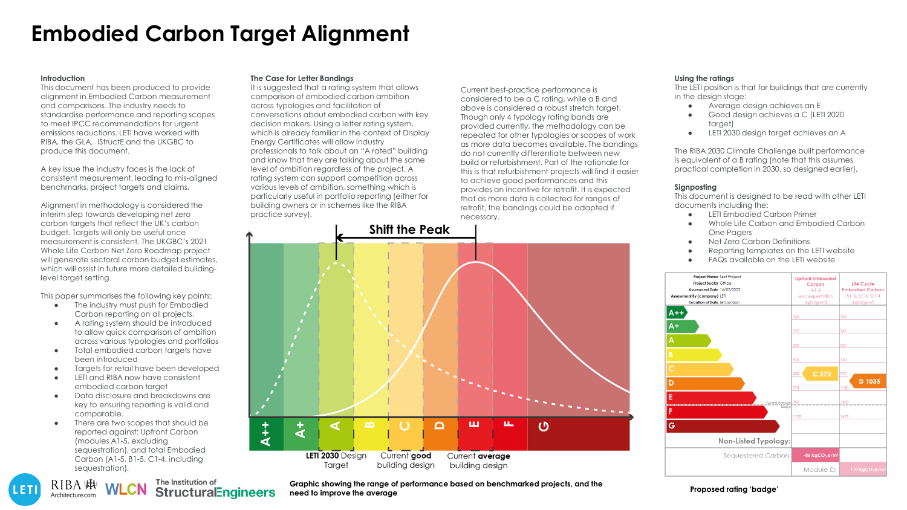# **Embodied Carbon Target Alignment**

#### **Introduction**

This document has been produced to provide alignment in Embodied Carbon measurement and comparisons. The industry needs to standardise performance and reporting scopes to meet IPCC recommendations for urgent emissions reductions. LETI have worked with RIBA, the GLA, IStructE and the UKGBC to produce this document.

A key issue the industry faces is the lack of consistent measurement, leading to mis-aligned benchmarks, project targets and claims.

Alignment in methodology is considered the interim step towards developing net zero carbon targets that reflect the UK's carbon budget. Targets will only be useful once measurement is consistent. The UKGBC's 2021 Whole Life Carbon Net Zero Roadmap project will generate sectoral carbon budget estimates, which will assist in future more detailed buildinglevel target setting.

This paper summarises the following key points:

- The industry must push for Embodied Carbon reporting on all projects.
- A rating system should be introduced to allow quick comparison of ambition across various typologies and portfolios
- Total embodied carbon targets have been introduced
- Targets for retail have been developed
- LETI and RIBA now have consistent embodied carbon target
- Data disclosure and breakdowns are key to ensuring reporting is valid and comparable.
- There are two scopes that should be reported against: Upfront Carbon (modules A1-5, excluding sequestration), and total Embodied Carbon (A1-5, B1-5, C1-4, including sequestration).

RIBA |康

Architecture.com

LETI

The Institution of

**StructuralEngineers** 

### **The Case for Letter Bandings**

It is suggested that a rating system that allows comparison of embodied carbon ambition across typologies and facilitation of conversations about embodied carbon with key decision makers. Using a letter rating system, which is already familiar in the context of Display Energy Certificates will allow industry professionals to talk about an "A rated" building and know that they are talking about the same level of ambition regardless of the project. A rating system can support competition across various levels of ambition, something which is particularly useful in portfolio reporting (either for building owners or in schemes like the RIBA practice survey).



necessary.

Current best-practice performance is considered to be a C rating, while a B and above is considered a robust stretch target. Though only 4 typology rating bands are provided currently, the methodology can be repeated for other typologies or scopes of work as more data becomes available. The bandings do not currently differentiate between new build or refurbishment. Part of the rationale for this is that refurbishment projects will find it easier to achieve good performances and this provides an incentive for retrofit. It is expected that as more data is collected for ranges of retrofit, the bandings could be adapted if

**Using the ratings**

The LETI position is that for buildings that are currently in the design stage:

- Average design achieves an E
- Good design achieves a C (LETI 2020) target)
- LETI 2030 design target achieves an A

The RIBA 2030 Climate Challenge built performance is equivalent of a B rating (note that this assumes practical completion in 2030, so designed earlier).

### **Signposting**

This document is designed to be read with other LETI documents including the:

- LETI Embodied Carbon Primer
- Whole Life Carbon and Embodied Carbon One Pagers
- **Net Zero Carbon Definitions**
- Reporting templates on the LETI website
- FAQs available on the LETI website



**Graphic showing the range of performance based on benchmarked projects, and the need to improve the average Proposed rating 'badge'**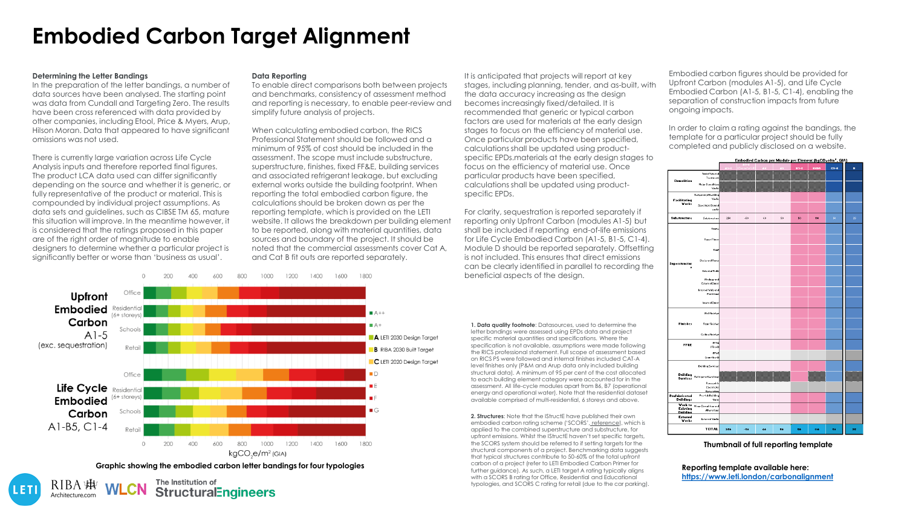# **Embodied Carbon Target Alignment**

### **Determining the Letter Bandings**

LETI

Architecture.com

In the preparation of the letter bandings, a number of data sources have been analysed. The starting point was data from Cundall and Targeting Zero. The results have been cross referenced with data provided by other companies, including Etool, Price & Myers, Arup, Hilson Moran. Data that appeared to have significant omissions was not used.

There is currently large variation across Life Cycle Analysis inputs and therefore reported final figures. The product LCA data used can differ significantly depending on the source and whether it is generic, or fully representative of the product or material. This is compounded by individual project assumptions. As data sets and guidelines, such as CIBSE TM 65, mature this situation will improve. In the meantime however, it is considered that the ratings proposed in this paper are of the right order of magnitude to enable designers to determine whether a particular project is significantly better or worse than 'business as usual'.

### **Data Reporting**

1200

1000

1400 1600

To enable direct comparisons both between projects and benchmarks, consistency of assessment method and reporting is necessary, to enable peer-review and simplify future analysis of projects.

When calculating embodied carbon, the RICS Professional Statement should be followed and a minimum of 95% of cost should be included in the assessment. The scope must include substructure, superstructure, finishes, fixed FF&E, building services and associated refrigerant leakage, but excluding external works outside the building footprint. When reporting the total embodied carbon figure, the calculations should be broken down as per the reporting template, which is provided on the LETI website. It allows the breakdown per building element to be reported, along with material quantities, data sources and boundary of the project. It should be noted that the commercial assessments cover Cat A, and Cat B fit outs are reported separately.

 $1800$ 

It is anticipated that projects will report at key stages, including planning, tender, and as-built, with the data accuracy increasing as the design becomes increasingly fixed/detailed. It is recommended that generic or typical carbon factors are used for materials at the early design stages to focus on the efficiency of material use. Once particular products have been specified, calculations shall be updated using productspecific EPDs.materials at the early design stages to focus on the efficiency of material use. Once particular products have been specified, calculations shall be updated using productspecific EPDs.

For clarity, sequestration is reported separately if reporting only Upfront Carbon (modules A1-5) but shall be included if reporting end-of-life emissions for Life Cycle Embodied Carbon (A1-5, B1-5, C1-4). Module D should be reported separately. Offsetting is not included. This ensures that direct emissions can be clearly identified in parallel to recording the beneficial aspects of the design.

**1. Data quality footnote**: Datasources, used to determine the letter bandings were assessed using EPDs data and project specific material quantities and specifications. Where the specification is not available, assumptions were made following the RICS professional statement. Full scope of assessment based on RICS PS were followed and internal finishes included CAT-A level finishes only (P&M and Arup data only included building structural data). A minimum of 95 per cent of the cost allocated to each building element category were accounted for in the assessment. All life-cycle modules apart from B6, B7 (operational energy and operational water). Note that the residential dataset available comprised of multi-residential, 6 storeys and above.

**2. Structures**: Note that the IStructE have published their own embodied carbon rating scheme ('SCORS', [reference](https://www.istructe.org/journal/volumes/volume-98-(2020)/issue-10/setting-carbon-targets-an-introduction-to-scors/)), which is applied to the combined superstructure and substructure, for upfront emissions. Whilst the IStructE haven't set specific targets, the SCORS system should be referred to if setting targets for the structural components of a project. Benchmarking data suggests that typical structures contribute to 50-60% of the total upfront carbon of a project (refer to LETI Embodied Carbon Primer for further guidance). As such, a LETI target A rating typically aligns with a SCORS B rating for Office, Residential and Educational typologies, and SCORS C rating for retail (due to the car parking). Embodied carbon figures should be provided for Upfront Carbon (modules A1-5), and Life Cycle Embodied Carbon (A1-5, B1-5, C1-4), enabling the separation of construction impacts from future ongoing impacts.

In order to claim a rating against the bandings, the template for a particular project should be fully completed and publicly disclosed on a website.



**Thumbnail of full reporting template**

**Reporting template available here: <https://www.leti.london/carbonalignment>**



**StructuralEngineers** 

 $\triangle$ 

 $200$ 

60Q

800